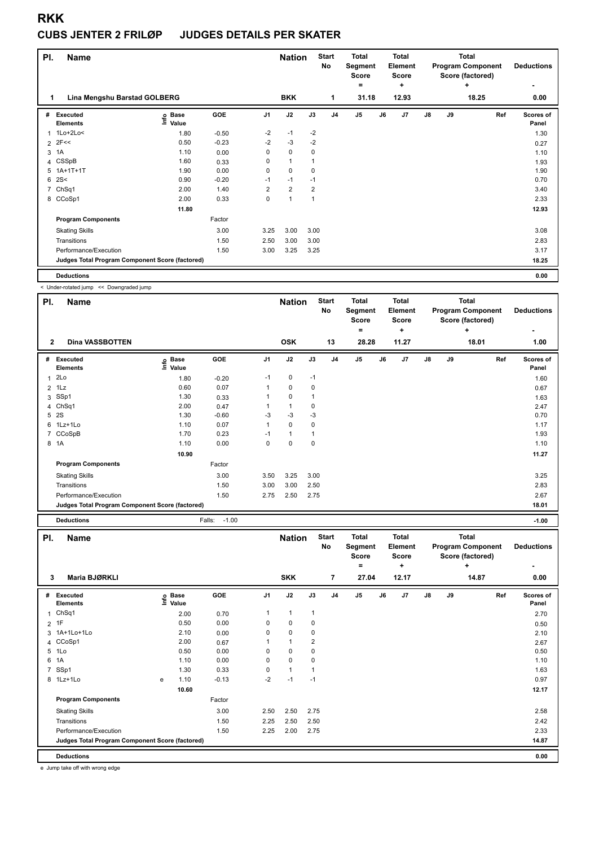#### **CUBS JENTER 2 FRILØP JUDGES DETAILS PER SKATER**

| PI. | Name                                            |                              |         |                | <b>Nation</b>  |                | <b>Start</b><br>No | <b>Total</b><br>Segment<br><b>Score</b> |    | <b>Total</b><br>Element<br><b>Score</b> |               |    | <b>Total</b><br><b>Program Component</b><br>Score (factored) | <b>Deductions</b>  |
|-----|-------------------------------------------------|------------------------------|---------|----------------|----------------|----------------|--------------------|-----------------------------------------|----|-----------------------------------------|---------------|----|--------------------------------------------------------------|--------------------|
| 1   | Lina Mengshu Barstad GOLBERG                    |                              |         |                | <b>BKK</b>     |                | 1                  | $=$<br>31.18                            |    | ÷<br>12.93                              |               |    | ÷<br>18.25                                                   | ۰<br>0.00          |
| #   | Executed<br><b>Elements</b>                     | <b>Base</b><br>lnfo<br>Value | GOE     | J <sub>1</sub> | J2             | J3             | J <sub>4</sub>     | J <sub>5</sub>                          | J6 | J <sub>7</sub>                          | $\mathsf{J}8$ | J9 | Ref                                                          | Scores of<br>Panel |
| 1   | $1$ Lo $+2$ Lo<                                 | 1.80                         | $-0.50$ | $-2$           | $-1$           | $-2$           |                    |                                         |    |                                         |               |    |                                                              | 1.30               |
|     | $2$ 2F<<                                        | 0.50                         | $-0.23$ | $-2$           | $-3$           | $-2$           |                    |                                         |    |                                         |               |    |                                                              | 0.27               |
| 3   | 1A                                              | 1.10                         | 0.00    | 0              | $\mathbf 0$    | 0              |                    |                                         |    |                                         |               |    |                                                              | 1.10               |
|     | 4 CSSpB                                         | 1.60                         | 0.33    | 0              | $\mathbf{1}$   |                |                    |                                         |    |                                         |               |    |                                                              | 1.93               |
| 5   | $1A+1T+1T$                                      | 1.90                         | 0.00    | 0              | $\mathbf 0$    | 0              |                    |                                         |    |                                         |               |    |                                                              | 1.90               |
| 6   | 2S<                                             | 0.90                         | $-0.20$ | $-1$           | $-1$           | $-1$           |                    |                                         |    |                                         |               |    |                                                              | 0.70               |
| 7   | Ch <sub>Sq1</sub>                               | 2.00                         | 1.40    | 2              | $\overline{2}$ | $\overline{2}$ |                    |                                         |    |                                         |               |    |                                                              | 3.40               |
|     | 8 CCoSp1                                        | 2.00                         | 0.33    | 0              | $\overline{1}$ | 1              |                    |                                         |    |                                         |               |    |                                                              | 2.33               |
|     |                                                 | 11.80                        |         |                |                |                |                    |                                         |    |                                         |               |    |                                                              | 12.93              |
|     | <b>Program Components</b>                       |                              | Factor  |                |                |                |                    |                                         |    |                                         |               |    |                                                              |                    |
|     | <b>Skating Skills</b>                           |                              | 3.00    | 3.25           | 3.00           | 3.00           |                    |                                         |    |                                         |               |    |                                                              | 3.08               |
|     | Transitions                                     |                              | 1.50    | 2.50           | 3.00           | 3.00           |                    |                                         |    |                                         |               |    |                                                              | 2.83               |
|     | Performance/Execution                           |                              | 1.50    | 3.00           | 3.25           | 3.25           |                    |                                         |    |                                         |               |    |                                                              | 3.17               |
|     | Judges Total Program Component Score (factored) |                              |         |                |                |                |                    |                                         |    |                                         |               |    |                                                              | 18.25              |
|     | <b>Deductions</b>                               |                              |         |                |                |                |                    |                                         |    |                                         |               |    |                                                              | 0.00               |

< Under-rotated jump << Downgraded jump

| PI.            | <b>Name</b>                                     |                            |         |                | <b>Nation</b> |             | <b>Start</b><br>No | <b>Total</b><br>Segment<br><b>Score</b> |    | <b>Total</b><br>Element<br>Score |    |    | <b>Total</b><br><b>Program Component</b><br>Score (factored) | <b>Deductions</b>  |
|----------------|-------------------------------------------------|----------------------------|---------|----------------|---------------|-------------|--------------------|-----------------------------------------|----|----------------------------------|----|----|--------------------------------------------------------------|--------------------|
| $\overline{2}$ | <b>Dina VASSBOTTEN</b>                          |                            |         |                | <b>OSK</b>    |             | 13                 | ۰<br>28.28                              |    | ÷<br>11.27                       |    |    | ÷<br>18.01                                                   | ٠<br>1.00          |
|                |                                                 |                            |         |                |               |             |                    |                                         |    |                                  |    |    |                                                              |                    |
|                | # Executed<br><b>Elements</b>                   | e Base<br>⊑ Value<br>Value | GOE     | J <sub>1</sub> | J2            | J3          | J <sub>4</sub>     | J5                                      | J6 | J <sub>7</sub>                   | J8 | J9 | Ref                                                          | Scores of<br>Panel |
| $\mathbf{1}$   | 2Lo                                             | 1.80                       | $-0.20$ | $-1$           | 0             | $-1$        |                    |                                         |    |                                  |    |    |                                                              | 1.60               |
|                | $2$ 1Lz                                         | 0.60                       | 0.07    | 1              | 0             | 0           |                    |                                         |    |                                  |    |    |                                                              | 0.67               |
|                | 3 SSp1                                          | 1.30                       | 0.33    |                | 0             |             |                    |                                         |    |                                  |    |    |                                                              | 1.63               |
|                | 4 ChSq1                                         | 2.00                       | 0.47    |                | 1             | $\mathbf 0$ |                    |                                         |    |                                  |    |    |                                                              | 2.47               |
|                | 5 2S                                            | 1.30                       | $-0.60$ | -3             | $-3$          | -3          |                    |                                         |    |                                  |    |    |                                                              | 0.70               |
|                | 6 1Lz+1Lo                                       | 1.10                       | 0.07    | 1              | 0             | $\mathbf 0$ |                    |                                         |    |                                  |    |    |                                                              | 1.17               |
|                | 7 CCoSpB                                        | 1.70                       | 0.23    | $-1$           | 1             | 1           |                    |                                         |    |                                  |    |    |                                                              | 1.93               |
|                | 8 1A                                            | 1.10                       | 0.00    | 0              | 0             | $\mathbf 0$ |                    |                                         |    |                                  |    |    |                                                              | 1.10               |
|                |                                                 | 10.90                      |         |                |               |             |                    |                                         |    |                                  |    |    |                                                              | 11.27              |
|                | <b>Program Components</b>                       |                            | Factor  |                |               |             |                    |                                         |    |                                  |    |    |                                                              |                    |
|                | <b>Skating Skills</b>                           |                            | 3.00    | 3.50           | 3.25          | 3.00        |                    |                                         |    |                                  |    |    |                                                              | 3.25               |
|                | Transitions                                     |                            | 1.50    | 3.00           | 3.00          | 2.50        |                    |                                         |    |                                  |    |    |                                                              | 2.83               |
|                | Performance/Execution                           |                            | 1.50    | 2.75           | 2.50          | 2.75        |                    |                                         |    |                                  |    |    |                                                              | 2.67               |
|                | Judges Total Program Component Score (factored) |                            |         |                |               |             |                    |                                         |    |                                  |    |    |                                                              | 18.01              |

|              | <b>Deductions</b>                               |   |                            | Falls:<br>$-1.00$ |                |               |              |                    |                                              |    |                                              |               |    |                                                                   | $-1.00$            |
|--------------|-------------------------------------------------|---|----------------------------|-------------------|----------------|---------------|--------------|--------------------|----------------------------------------------|----|----------------------------------------------|---------------|----|-------------------------------------------------------------------|--------------------|
| PI.          | <b>Name</b>                                     |   |                            |                   |                | <b>Nation</b> |              | <b>Start</b><br>No | <b>Total</b><br>Segment<br><b>Score</b><br>= |    | <b>Total</b><br>Element<br><b>Score</b><br>٠ |               |    | <b>Total</b><br><b>Program Component</b><br>Score (factored)<br>÷ | <b>Deductions</b>  |
| 3            | Maria BJØRKLI                                   |   |                            |                   |                | <b>SKK</b>    |              | 7                  | 27.04                                        |    | 12.17                                        |               |    | 14.87                                                             | 0.00               |
| #            | Executed<br><b>Elements</b>                     |   | e Base<br>E Value<br>Value | GOE               | J <sub>1</sub> | J2            | J3           | J <sub>4</sub>     | J5                                           | J6 | J7                                           | $\mathsf{J}8$ | J9 | Ref                                                               | Scores of<br>Panel |
| $\mathbf{1}$ | ChSq1                                           |   | 2.00                       | 0.70              |                | $\mathbf{1}$  | $\mathbf{1}$ |                    |                                              |    |                                              |               |    |                                                                   | 2.70               |
|              | $2$ 1F                                          |   | 0.50                       | 0.00              | 0              | 0             | 0            |                    |                                              |    |                                              |               |    |                                                                   | 0.50               |
|              | 3 1A+1Lo+1Lo                                    |   | 2.10                       | 0.00              | 0              | 0             | 0            |                    |                                              |    |                                              |               |    |                                                                   | 2.10               |
|              | 4 CCoSp1                                        |   | 2.00                       | 0.67              |                | 1             | 2            |                    |                                              |    |                                              |               |    |                                                                   | 2.67               |
|              | 5 1Lo                                           |   | 0.50                       | 0.00              | 0              | $\pmb{0}$     | 0            |                    |                                              |    |                                              |               |    |                                                                   | 0.50               |
| 6            | 1A                                              |   | 1.10                       | 0.00              | 0              | $\mathbf 0$   | 0            |                    |                                              |    |                                              |               |    |                                                                   | 1.10               |
|              | 7 SSp1                                          |   | 1.30                       | 0.33              | 0              | $\mathbf{1}$  | 1            |                    |                                              |    |                                              |               |    |                                                                   | 1.63               |
|              | 8 1Lz+1Lo                                       | e | 1.10                       | $-0.13$           | $-2$           | $-1$          | $-1$         |                    |                                              |    |                                              |               |    |                                                                   | 0.97               |
|              |                                                 |   | 10.60                      |                   |                |               |              |                    |                                              |    |                                              |               |    |                                                                   | 12.17              |
|              | <b>Program Components</b>                       |   |                            | Factor            |                |               |              |                    |                                              |    |                                              |               |    |                                                                   |                    |
|              | <b>Skating Skills</b>                           |   |                            | 3.00              | 2.50           | 2.50          | 2.75         |                    |                                              |    |                                              |               |    |                                                                   | 2.58               |
|              | Transitions                                     |   |                            | 1.50              | 2.25           | 2.50          | 2.50         |                    |                                              |    |                                              |               |    |                                                                   | 2.42               |
|              | Performance/Execution                           |   |                            | 1.50              | 2.25           | 2.00          | 2.75         |                    |                                              |    |                                              |               |    |                                                                   | 2.33               |
|              | Judges Total Program Component Score (factored) |   |                            |                   |                |               |              |                    |                                              |    |                                              |               |    |                                                                   | 14.87              |
|              | <b>Deductions</b>                               |   |                            |                   |                |               |              |                    |                                              |    |                                              |               |    |                                                                   | 0.00               |

e Jump take off with wrong edge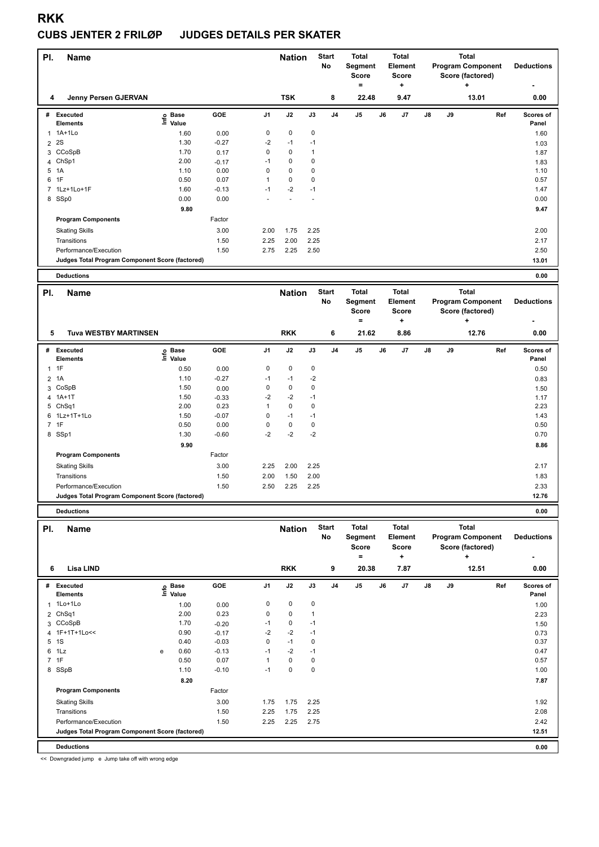#### **CUBS JENTER 2 FRILØP JUDGES DETAILS PER SKATER**

| PI.            | <b>Name</b>                                     |                   |         |      | <b>Nation</b> |             | <b>Start</b><br>No | <b>Total</b><br>Segment<br>Score |    | <b>Total</b><br>Element<br><b>Score</b> |    |    | <b>Total</b><br><b>Program Component</b><br>Score (factored) | <b>Deductions</b>  |
|----------------|-------------------------------------------------|-------------------|---------|------|---------------|-------------|--------------------|----------------------------------|----|-----------------------------------------|----|----|--------------------------------------------------------------|--------------------|
|                |                                                 |                   |         |      |               |             |                    | ۰                                |    | ÷                                       |    |    | ÷                                                            |                    |
| 4              | Jenny Persen GJERVAN                            |                   |         |      | <b>TSK</b>    |             | 8                  | 22.48                            |    | 9.47                                    |    |    | 13.01                                                        | 0.00               |
| #              | Executed<br><b>Elements</b>                     | e Base<br>E Value | GOE     | J1   | J2            | J3          | J4                 | J5                               | J6 | J <sub>7</sub>                          | J8 | J9 | Ref                                                          | Scores of<br>Panel |
|                | 1 1A+1Lo                                        | 1.60              | 0.00    | 0    | $\mathbf 0$   | $\mathbf 0$ |                    |                                  |    |                                         |    |    |                                                              | 1.60               |
| $\overline{2}$ | <b>2S</b>                                       | 1.30              | $-0.27$ | $-2$ | $-1$          | $-1$        |                    |                                  |    |                                         |    |    |                                                              | 1.03               |
|                | 3 CCoSpB                                        | 1.70              | 0.17    | 0    | $\mathbf 0$   | 1           |                    |                                  |    |                                         |    |    |                                                              | 1.87               |
|                | 4 ChSp1                                         | 2.00              | $-0.17$ | $-1$ | 0             | 0           |                    |                                  |    |                                         |    |    |                                                              | 1.83               |
| 5              | 1A                                              | 1.10              | 0.00    | 0    | 0             | 0           |                    |                                  |    |                                         |    |    |                                                              | 1.10               |
| 6              | 1F                                              | 0.50              | 0.07    | 1    | $\pmb{0}$     | 0           |                    |                                  |    |                                         |    |    |                                                              | 0.57               |
|                | 7 1Lz+1Lo+1F                                    | 1.60              | $-0.13$ | $-1$ | $-2$          | $-1$        |                    |                                  |    |                                         |    |    |                                                              | 1.47               |
|                | 8 SSp0                                          | 0.00              | 0.00    |      |               |             |                    |                                  |    |                                         |    |    |                                                              | 0.00               |
|                |                                                 | 9.80              |         |      |               |             |                    |                                  |    |                                         |    |    |                                                              | 9.47               |
|                | <b>Program Components</b>                       |                   | Factor  |      |               |             |                    |                                  |    |                                         |    |    |                                                              |                    |
|                | <b>Skating Skills</b>                           |                   | 3.00    | 2.00 | 1.75          | 2.25        |                    |                                  |    |                                         |    |    |                                                              | 2.00               |
|                | Transitions                                     |                   | 1.50    | 2.25 | 2.00          | 2.25        |                    |                                  |    |                                         |    |    |                                                              | 2.17               |
|                | Performance/Execution                           |                   | 1.50    | 2.75 | 2.25          | 2.50        |                    |                                  |    |                                         |    |    |                                                              | 2.50               |
|                | Judges Total Program Component Score (factored) |                   |         |      |               |             |                    |                                  |    |                                         |    |    |                                                              | 13.01              |
|                | <b>Deductions</b>                               |                   |         |      |               |             |                    |                                  |    |                                         |    |    |                                                              | 0.00               |
| PI.            | <b>Name</b>                                     |                   |         |      | <b>Nation</b> |             | <b>Start</b>       | <b>Total</b>                     |    | <b>Total</b>                            |    |    | <b>Total</b>                                                 |                    |

| PI.<br><b>Name</b>                              |                            |         |                | <b>Nation</b> |             | <b>Start</b><br>No | Total<br>Segment<br><b>Score</b><br>۰ | <b>Total</b><br>Element<br><b>Score</b><br>٠ |               |    | <b>Total</b><br><b>Program Component</b><br>Score (factored)<br>÷ | <b>Deductions</b><br>۰ |
|-------------------------------------------------|----------------------------|---------|----------------|---------------|-------------|--------------------|---------------------------------------|----------------------------------------------|---------------|----|-------------------------------------------------------------------|------------------------|
| 5<br><b>Tuva WESTBY MARTINSEN</b>               |                            |         |                | <b>RKK</b>    |             | 6                  | 21.62                                 | 8.86                                         |               |    | 12.76                                                             | 0.00                   |
| Executed<br>#<br><b>Elements</b>                | <b>Base</b><br>۴ů<br>Value | GOE     | J <sub>1</sub> | J2            | J3          | J <sub>4</sub>     | J <sub>5</sub>                        | J6<br>J <sub>7</sub>                         | $\mathsf{J}8$ | J9 | Ref                                                               | Scores of<br>Panel     |
| 1F                                              | 0.50                       | 0.00    | 0              | 0             | 0           |                    |                                       |                                              |               |    |                                                                   | 0.50                   |
| 1A<br>$\overline{2}$                            | 1.10                       | $-0.27$ | $-1$           | $-1$          | $-2$        |                    |                                       |                                              |               |    |                                                                   | 0.83                   |
| 3 CoSpB                                         | 1.50                       | 0.00    | 0              | 0             | 0           |                    |                                       |                                              |               |    |                                                                   | 1.50                   |
| 4 1A+1T                                         | 1.50                       | $-0.33$ | $-2$           | $-2$          | $-1$        |                    |                                       |                                              |               |    |                                                                   | 1.17                   |
| 5 ChSq1                                         | 2.00                       | 0.23    | 1              | $\mathbf 0$   | $\mathbf 0$ |                    |                                       |                                              |               |    |                                                                   | 2.23                   |
| 6 1Lz+1T+1Lo                                    | 1.50                       | $-0.07$ | 0              | $-1$          | $-1$        |                    |                                       |                                              |               |    |                                                                   | 1.43                   |
| 7 1F                                            | 0.50                       | 0.00    | 0              | 0             | 0           |                    |                                       |                                              |               |    |                                                                   | 0.50                   |
| 8 SSp1                                          | 1.30                       | $-0.60$ | $-2$           | $-2$          | $-2$        |                    |                                       |                                              |               |    |                                                                   | 0.70                   |
|                                                 | 9.90                       |         |                |               |             |                    |                                       |                                              |               |    |                                                                   | 8.86                   |
| <b>Program Components</b>                       |                            | Factor  |                |               |             |                    |                                       |                                              |               |    |                                                                   |                        |
| <b>Skating Skills</b>                           |                            | 3.00    | 2.25           | 2.00          | 2.25        |                    |                                       |                                              |               |    |                                                                   | 2.17                   |
| Transitions                                     |                            | 1.50    | 2.00           | 1.50          | 2.00        |                    |                                       |                                              |               |    |                                                                   | 1.83                   |
| Performance/Execution                           |                            | 1.50    | 2.50           | 2.25          | 2.25        |                    |                                       |                                              |               |    |                                                                   | 2.33                   |
| Judges Total Program Component Score (factored) |                            |         |                |               |             |                    |                                       |                                              |               |    |                                                                   | 12.76                  |
| <b>Deductions</b>                               |                            |         |                |               |             |                    |                                       |                                              |               |    |                                                                   | 0.00                   |

**Deductions 0.00**

| PI.            | <b>Name</b>                                     |   |                                  |         |                | <b>Nation</b> |             | <b>Start</b><br>No | <b>Total</b><br>Segment<br><b>Score</b><br>۰ |    | <b>Total</b><br>Element<br><b>Score</b><br>٠ |               |    | <b>Total</b><br><b>Program Component</b><br>Score (factored)<br>٠ | <b>Deductions</b>  |
|----------------|-------------------------------------------------|---|----------------------------------|---------|----------------|---------------|-------------|--------------------|----------------------------------------------|----|----------------------------------------------|---------------|----|-------------------------------------------------------------------|--------------------|
| 6              | Lisa LIND                                       |   |                                  |         |                | <b>RKK</b>    |             | 9                  | 20.38                                        |    | 7.87                                         |               |    | 12.51                                                             | ۰<br>0.00          |
| #              | Executed<br><b>Elements</b>                     |   | <b>Base</b><br>e Base<br>⊑ Value | GOE     | J <sub>1</sub> | J2            | J3          | J <sub>4</sub>     | J <sub>5</sub>                               | J6 | J7                                           | $\mathsf{J}8$ | J9 | Ref                                                               | Scores of<br>Panel |
| $\mathbf{1}$   | 1Lo+1Lo                                         |   | 1.00                             | 0.00    | 0              | $\mathbf 0$   | $\mathbf 0$ |                    |                                              |    |                                              |               |    |                                                                   | 1.00               |
|                | 2 ChSq1                                         |   | 2.00                             | 0.23    | $\mathbf 0$    | $\mathbf 0$   | 1           |                    |                                              |    |                                              |               |    |                                                                   | 2.23               |
|                | 3 CCoSpB                                        |   | 1.70                             | $-0.20$ | $-1$           | $\pmb{0}$     | $-1$        |                    |                                              |    |                                              |               |    |                                                                   | 1.50               |
| $\overline{4}$ | 1F+1T+1Lo<<                                     |   | 0.90                             | $-0.17$ | $-2$           | $-2$          | $-1$        |                    |                                              |    |                                              |               |    |                                                                   | 0.73               |
| 5              | 1S                                              |   | 0.40                             | $-0.03$ | 0              | $-1$          | 0           |                    |                                              |    |                                              |               |    |                                                                   | 0.37               |
| 6              | 1Lz                                             | e | 0.60                             | $-0.13$ | $-1$           | $-2$          | $-1$        |                    |                                              |    |                                              |               |    |                                                                   | 0.47               |
| $\overline{7}$ | 1F                                              |   | 0.50                             | 0.07    |                | $\mathbf 0$   | 0           |                    |                                              |    |                                              |               |    |                                                                   | 0.57               |
|                | 8 SSpB                                          |   | 1.10                             | $-0.10$ | $-1$           | $\mathbf 0$   | 0           |                    |                                              |    |                                              |               |    |                                                                   | 1.00               |
|                |                                                 |   | 8.20                             |         |                |               |             |                    |                                              |    |                                              |               |    |                                                                   | 7.87               |
|                | <b>Program Components</b>                       |   |                                  | Factor  |                |               |             |                    |                                              |    |                                              |               |    |                                                                   |                    |
|                | <b>Skating Skills</b>                           |   |                                  | 3.00    | 1.75           | 1.75          | 2.25        |                    |                                              |    |                                              |               |    |                                                                   | 1.92               |
|                | Transitions                                     |   |                                  | 1.50    | 2.25           | 1.75          | 2.25        |                    |                                              |    |                                              |               |    |                                                                   | 2.08               |
|                | Performance/Execution                           |   |                                  | 1.50    | 2.25           | 2.25          | 2.75        |                    |                                              |    |                                              |               |    |                                                                   | 2.42               |
|                | Judges Total Program Component Score (factored) |   |                                  |         |                |               |             |                    |                                              |    |                                              |               |    |                                                                   | 12.51              |
|                | <b>Deductions</b>                               |   |                                  |         |                |               |             |                    |                                              |    |                                              |               |    |                                                                   | 0.00               |

<< Downgraded jump e Jump take off with wrong edge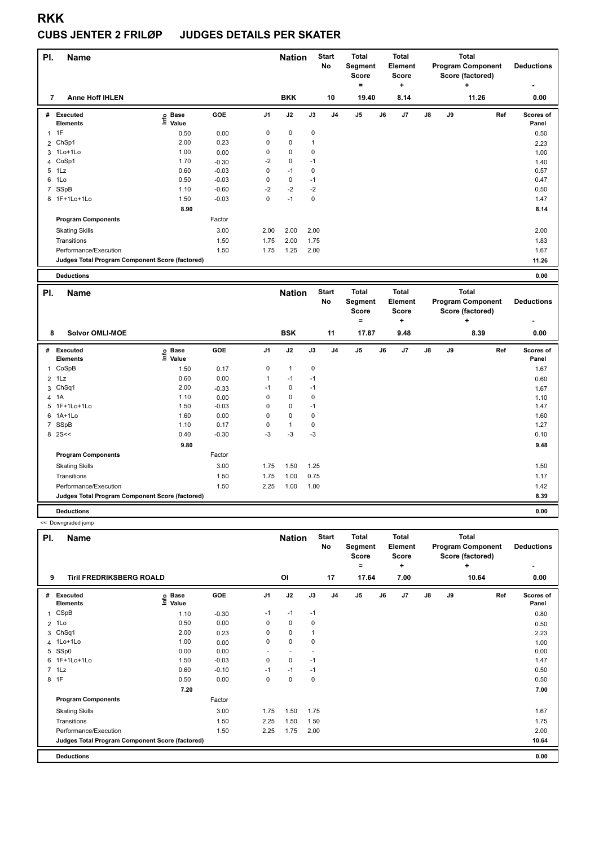#### **CUBS JENTER 2 FRILØP JUDGES DETAILS PER SKATER**

| PI.            | Name                                            |                            |            |                | <b>Nation</b> |             | <b>Start</b><br>No | <b>Total</b><br>Segment<br><b>Score</b><br>۰ |    | <b>Total</b><br>Element<br><b>Score</b><br>÷ |               |    | <b>Total</b><br><b>Program Component</b><br>Score (factored)<br>÷ | <b>Deductions</b>  |
|----------------|-------------------------------------------------|----------------------------|------------|----------------|---------------|-------------|--------------------|----------------------------------------------|----|----------------------------------------------|---------------|----|-------------------------------------------------------------------|--------------------|
| 7              | <b>Anne Hoff IHLEN</b>                          |                            |            |                | <b>BKK</b>    |             | 10                 | 19.40                                        |    | 8.14                                         |               |    | 11.26                                                             | 0.00               |
| #              | Executed<br><b>Elements</b>                     | <b>Base</b><br>۴ů<br>Value | <b>GOE</b> | J <sub>1</sub> | J2            | J3          | J <sub>4</sub>     | J5                                           | J6 | J7                                           | $\mathsf{J}8$ | J9 | Ref                                                               | Scores of<br>Panel |
| $\overline{1}$ | 1F                                              | 0.50                       | 0.00       | 0              | $\mathbf 0$   | 0           |                    |                                              |    |                                              |               |    |                                                                   | 0.50               |
|                | 2 ChSp1                                         | 2.00                       | 0.23       | 0              | 0             | $\mathbf 1$ |                    |                                              |    |                                              |               |    |                                                                   | 2.23               |
|                | 3 1Lo+1Lo                                       | 1.00                       | 0.00       | 0              | $\mathbf 0$   | 0           |                    |                                              |    |                                              |               |    |                                                                   | 1.00               |
|                | 4 CoSp1                                         | 1.70                       | $-0.30$    | $-2$           | $\mathbf 0$   | $-1$        |                    |                                              |    |                                              |               |    |                                                                   | 1.40               |
| 5              | 1Lz                                             | 0.60                       | $-0.03$    | 0              | $-1$          | 0           |                    |                                              |    |                                              |               |    |                                                                   | 0.57               |
| 6              | 1Lo                                             | 0.50                       | $-0.03$    | 0              | 0             | $-1$        |                    |                                              |    |                                              |               |    |                                                                   | 0.47               |
| $\overline{7}$ | SSpB                                            | 1.10                       | $-0.60$    | $-2$           | $-2$          | $-2$        |                    |                                              |    |                                              |               |    |                                                                   | 0.50               |
|                | 8 1F+1Lo+1Lo                                    | 1.50                       | $-0.03$    | 0              | $-1$          | 0           |                    |                                              |    |                                              |               |    |                                                                   | 1.47               |
|                |                                                 | 8.90                       |            |                |               |             |                    |                                              |    |                                              |               |    |                                                                   | 8.14               |
|                | <b>Program Components</b>                       |                            | Factor     |                |               |             |                    |                                              |    |                                              |               |    |                                                                   |                    |
|                | <b>Skating Skills</b>                           |                            | 3.00       | 2.00           | 2.00          | 2.00        |                    |                                              |    |                                              |               |    |                                                                   | 2.00               |
|                | Transitions                                     |                            | 1.50       | 1.75           | 2.00          | 1.75        |                    |                                              |    |                                              |               |    |                                                                   | 1.83               |
|                | Performance/Execution                           |                            | 1.50       | 1.75           | 1.25          | 2.00        |                    |                                              |    |                                              |               |    |                                                                   | 1.67               |
|                | Judges Total Program Component Score (factored) |                            |            |                |               |             |                    |                                              |    |                                              |               |    |                                                                   | 11.26              |
|                | <b>Deductions</b>                               |                            |            |                |               |             |                    |                                              |    |                                              |               |    |                                                                   | 0.00               |

| PI. | <b>Name</b>                                     |                            |            |                | <b>Nation</b> |      | <b>Start</b><br><b>No</b> | <b>Total</b><br>Segment<br><b>Score</b><br>$\equiv$ |    | <b>Total</b><br>Element<br><b>Score</b><br>٠ |               |    | <b>Total</b><br><b>Program Component</b><br>Score (factored)<br>÷ | <b>Deductions</b><br>$\,$ |
|-----|-------------------------------------------------|----------------------------|------------|----------------|---------------|------|---------------------------|-----------------------------------------------------|----|----------------------------------------------|---------------|----|-------------------------------------------------------------------|---------------------------|
| 8   | <b>Solvor OMLI-MOE</b>                          |                            |            |                | <b>BSK</b>    |      | 11                        | 17.87                                               |    | 9.48                                         |               |    | 8.39                                                              | 0.00                      |
|     | # Executed<br><b>Elements</b>                   | e Base<br>E Value<br>Value | <b>GOE</b> | J <sub>1</sub> | J2            | J3   | J4                        | J <sub>5</sub>                                      | J6 | J7                                           | $\mathsf{J}8$ | J9 | Ref                                                               | Scores of<br>Panel        |
|     | 1 CoSpB                                         | 1.50                       | 0.17       | 0              | $\mathbf{1}$  | 0    |                           |                                                     |    |                                              |               |    |                                                                   | 1.67                      |
|     | $2$ 1 Lz                                        | 0.60                       | 0.00       | $\mathbf{1}$   | $-1$          | $-1$ |                           |                                                     |    |                                              |               |    |                                                                   | 0.60                      |
| 3   | ChSq1                                           | 2.00                       | $-0.33$    | $-1$           | 0             | $-1$ |                           |                                                     |    |                                              |               |    |                                                                   | 1.67                      |
|     | 4 1A                                            | 1.10                       | 0.00       | 0              | 0             | 0    |                           |                                                     |    |                                              |               |    |                                                                   | 1.10                      |
|     | 5 1F+1Lo+1Lo                                    | 1.50                       | $-0.03$    | 0              | 0             | $-1$ |                           |                                                     |    |                                              |               |    |                                                                   | 1.47                      |
|     | 6 1A+1Lo                                        | 1.60                       | 0.00       | 0              | $\mathbf 0$   | 0    |                           |                                                     |    |                                              |               |    |                                                                   | 1.60                      |
|     | 7 SSpB                                          | 1.10                       | 0.17       | 0              | $\mathbf{1}$  | 0    |                           |                                                     |    |                                              |               |    |                                                                   | 1.27                      |
|     | $8 \, 2S <<$                                    | 0.40                       | $-0.30$    | $-3$           | $-3$          | $-3$ |                           |                                                     |    |                                              |               |    |                                                                   | 0.10                      |
|     |                                                 | 9.80                       |            |                |               |      |                           |                                                     |    |                                              |               |    |                                                                   | 9.48                      |
|     | <b>Program Components</b>                       |                            | Factor     |                |               |      |                           |                                                     |    |                                              |               |    |                                                                   |                           |
|     | <b>Skating Skills</b>                           |                            | 3.00       | 1.75           | 1.50          | 1.25 |                           |                                                     |    |                                              |               |    |                                                                   | 1.50                      |
|     | Transitions                                     |                            | 1.50       | 1.75           | 1.00          | 0.75 |                           |                                                     |    |                                              |               |    |                                                                   | 1.17                      |
|     | Performance/Execution                           |                            | 1.50       | 2.25           | 1.00          | 1.00 |                           |                                                     |    |                                              |               |    |                                                                   | 1.42                      |
|     | Judges Total Program Component Score (factored) |                            |            |                |               |      |                           |                                                     |    |                                              |               |    |                                                                   | 8.39                      |
|     | <b>Deductions</b>                               |                            |            |                |               |      |                           |                                                     |    |                                              |               |    |                                                                   | 0.00                      |

<< Downgraded jump

| PI.          | <b>Name</b>                                     |                            |         |                | <b>Nation</b> |      | <b>Start</b><br>No | <b>Total</b><br>Segment<br><b>Score</b><br>$\equiv$ |    | <b>Total</b><br>Element<br><b>Score</b><br>÷ |    |    | <b>Total</b><br><b>Program Component</b><br>Score (factored)<br>÷ | <b>Deductions</b>  |
|--------------|-------------------------------------------------|----------------------------|---------|----------------|---------------|------|--------------------|-----------------------------------------------------|----|----------------------------------------------|----|----|-------------------------------------------------------------------|--------------------|
| 9            | <b>Tiril FREDRIKSBERG ROALD</b>                 |                            |         |                | OI            |      | 17                 | 17.64                                               |    | 7.00                                         |    |    | 10.64                                                             | 0.00               |
| #            | Executed<br><b>Elements</b>                     | e Base<br>E Value<br>Value | GOE     | J <sub>1</sub> | J2            | J3   | J <sub>4</sub>     | J <sub>5</sub>                                      | J6 | J7                                           | J8 | J9 | Ref                                                               | Scores of<br>Panel |
| $\mathbf{1}$ | CSpB                                            | 1.10                       | $-0.30$ | $-1$           | $-1$          | $-1$ |                    |                                                     |    |                                              |    |    |                                                                   | 0.80               |
|              | $2$ 1 Lo                                        | 0.50                       | 0.00    | 0              | 0             | 0    |                    |                                                     |    |                                              |    |    |                                                                   | 0.50               |
| 3            | ChSq1                                           | 2.00                       | 0.23    | $\Omega$       | 0             |      |                    |                                                     |    |                                              |    |    |                                                                   | 2.23               |
|              | 4 1Lo+1Lo                                       | 1.00                       | 0.00    | 0              | $\mathbf 0$   | 0    |                    |                                                     |    |                                              |    |    |                                                                   | 1.00               |
|              | 5 SSp0                                          | 0.00                       | 0.00    |                |               |      |                    |                                                     |    |                                              |    |    |                                                                   | 0.00               |
|              | 6 1F+1Lo+1Lo                                    | 1.50                       | $-0.03$ | 0              | $\mathbf 0$   | $-1$ |                    |                                                     |    |                                              |    |    |                                                                   | 1.47               |
|              | $7$ 1 Lz                                        | 0.60                       | $-0.10$ | $-1$           | $-1$          | $-1$ |                    |                                                     |    |                                              |    |    |                                                                   | 0.50               |
|              | 8 1F                                            | 0.50                       | 0.00    | 0              | $\mathbf 0$   | 0    |                    |                                                     |    |                                              |    |    |                                                                   | 0.50               |
|              |                                                 | 7.20                       |         |                |               |      |                    |                                                     |    |                                              |    |    |                                                                   | 7.00               |
|              | <b>Program Components</b>                       |                            | Factor  |                |               |      |                    |                                                     |    |                                              |    |    |                                                                   |                    |
|              | <b>Skating Skills</b>                           |                            | 3.00    | 1.75           | 1.50          | 1.75 |                    |                                                     |    |                                              |    |    |                                                                   | 1.67               |
|              | Transitions                                     |                            | 1.50    | 2.25           | 1.50          | 1.50 |                    |                                                     |    |                                              |    |    |                                                                   | 1.75               |
|              | Performance/Execution                           |                            | 1.50    | 2.25           | 1.75          | 2.00 |                    |                                                     |    |                                              |    |    |                                                                   | 2.00               |
|              | Judges Total Program Component Score (factored) |                            |         |                |               |      |                    |                                                     |    |                                              |    |    |                                                                   | 10.64              |
|              | <b>Deductions</b>                               |                            |         |                |               |      |                    |                                                     |    |                                              |    |    |                                                                   | 0.00               |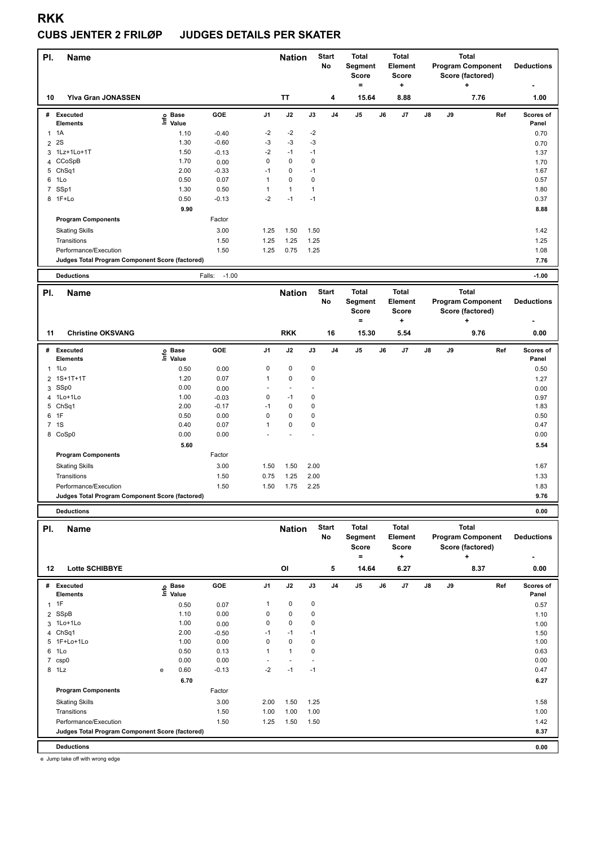#### **CUBS JENTER 2 FRILØP JUDGES DETAILS PER SKATER**

| PI.            | <b>Name</b>                                     |                            |                   |                | <b>Nation</b> |      | <b>Start</b><br><b>No</b> | <b>Total</b><br>Segment<br><b>Score</b> | <b>Total</b><br>Element<br><b>Score</b> |               |    | <b>Total</b><br><b>Program Component</b><br>Score (factored) | <b>Deductions</b>  |
|----------------|-------------------------------------------------|----------------------------|-------------------|----------------|---------------|------|---------------------------|-----------------------------------------|-----------------------------------------|---------------|----|--------------------------------------------------------------|--------------------|
|                |                                                 |                            |                   |                |               |      |                           | ٠                                       | ÷                                       |               |    | ÷                                                            |                    |
| 10             | <b>Ylva Gran JONASSEN</b>                       |                            |                   |                | <b>TT</b>     |      | 4                         | 15.64                                   | 8.88                                    |               |    | 7.76                                                         | 1.00               |
| #              | Executed<br><b>Elements</b>                     | <b>Base</b><br>۴ů<br>Value | GOE               | J <sub>1</sub> | J2            | J3   | J <sub>4</sub>            | J5                                      | J6<br>J7                                | $\mathsf{J}8$ | J9 | Ref                                                          | Scores of<br>Panel |
| $\mathbf{1}$   | 1A                                              | 1.10                       | $-0.40$           | $-2$           | $-2$          | $-2$ |                           |                                         |                                         |               |    |                                                              | 0.70               |
| $\overline{2}$ | 2S                                              | 1.30                       | $-0.60$           | $-3$           | $-3$          | $-3$ |                           |                                         |                                         |               |    |                                                              | 0.70               |
|                | 3 1Lz+1Lo+1T                                    | 1.50                       | $-0.13$           | $-2$           | $-1$          | $-1$ |                           |                                         |                                         |               |    |                                                              | 1.37               |
|                | 4 CCoSpB                                        | 1.70                       | 0.00              | 0              | $\mathbf 0$   | 0    |                           |                                         |                                         |               |    |                                                              | 1.70               |
| 5              | Ch <sub>Sq1</sub>                               | 2.00                       | $-0.33$           | $-1$           | 0             | $-1$ |                           |                                         |                                         |               |    |                                                              | 1.67               |
| 6              | 1Lo                                             | 0.50                       | 0.07              | 1              | $\Omega$      | 0    |                           |                                         |                                         |               |    |                                                              | 0.57               |
| $\overline{7}$ | SSp1                                            | 1.30                       | 0.50              | 1              | $\mathbf{1}$  | 1    |                           |                                         |                                         |               |    |                                                              | 1.80               |
|                | 8 1F+Lo                                         | 0.50                       | $-0.13$           | $-2$           | $-1$          | $-1$ |                           |                                         |                                         |               |    |                                                              | 0.37               |
|                |                                                 | 9.90                       |                   |                |               |      |                           |                                         |                                         |               |    |                                                              | 8.88               |
|                | <b>Program Components</b>                       |                            | Factor            |                |               |      |                           |                                         |                                         |               |    |                                                              |                    |
|                | <b>Skating Skills</b>                           |                            | 3.00              | 1.25           | 1.50          | 1.50 |                           |                                         |                                         |               |    |                                                              | 1.42               |
|                | Transitions                                     |                            | 1.50              | 1.25           | 1.25          | 1.25 |                           |                                         |                                         |               |    |                                                              | 1.25               |
|                | Performance/Execution                           |                            | 1.50              | 1.25           | 0.75          | 1.25 |                           |                                         |                                         |               |    |                                                              | 1.08               |
|                | Judges Total Program Component Score (factored) |                            |                   |                |               |      |                           |                                         |                                         |               |    |                                                              | 7.76               |
|                | <b>Deductions</b>                               |                            | $-1.00$<br>Falls: |                |               |      |                           |                                         |                                         |               |    |                                                              | $-1.00$            |
| PI.            | <b>Name</b>                                     |                            |                   |                | <b>Nation</b> |      | <b>Start</b><br>No        | <b>Total</b><br>Segment                 | <b>Total</b><br>Element                 |               |    | <b>Total</b><br><b>Program Component</b>                     | <b>Deductions</b>  |

|    |                                                 |                            |            |                |            |             |                | ----------<br><b>Score</b><br>$=$ |    | ---------<br><b>Score</b><br>÷ |    |    | Score (factored)<br>٠ | ----------<br>۰    |
|----|-------------------------------------------------|----------------------------|------------|----------------|------------|-------------|----------------|-----------------------------------|----|--------------------------------|----|----|-----------------------|--------------------|
| 11 | <b>Christine OKSVANG</b>                        |                            |            |                | <b>RKK</b> |             | 16             | 15.30                             |    | 5.54                           |    |    | 9.76                  | 0.00               |
| #  | Executed<br><b>Elements</b>                     | e Base<br>E Value<br>Value | <b>GOE</b> | J <sub>1</sub> | J2         | J3          | J <sub>4</sub> | J <sub>5</sub>                    | J6 | J7                             | J8 | J9 | Ref                   | Scores of<br>Panel |
|    | $1$ 1 Lo                                        | 0.50                       | 0.00       | 0              | 0          | $\mathbf 0$ |                |                                   |    |                                |    |    |                       | 0.50               |
|    | 2 1S+1T+1T                                      | 1.20                       | 0.07       | 1              | 0          | $\mathbf 0$ |                |                                   |    |                                |    |    |                       | 1.27               |
|    | 3 SSp0                                          | 0.00                       | 0.00       |                |            |             |                |                                   |    |                                |    |    |                       | 0.00               |
|    | 4 1Lo+1Lo                                       | 1.00                       | $-0.03$    | 0              | $-1$       | 0           |                |                                   |    |                                |    |    |                       | 0.97               |
|    | 5 ChSq1                                         | 2.00                       | $-0.17$    | $-1$           | 0          | 0           |                |                                   |    |                                |    |    |                       | 1.83               |
|    | 6 1F                                            | 0.50                       | 0.00       | 0              | 0          | 0           |                |                                   |    |                                |    |    |                       | 0.50               |
|    | 7 1S                                            | 0.40                       | 0.07       | 1              | 0          | $\mathbf 0$ |                |                                   |    |                                |    |    |                       | 0.47               |
| 8  | CoSp0                                           | 0.00                       | 0.00       |                |            |             |                |                                   |    |                                |    |    |                       | 0.00               |
|    |                                                 | 5.60                       |            |                |            |             |                |                                   |    |                                |    |    |                       | 5.54               |
|    | <b>Program Components</b>                       |                            | Factor     |                |            |             |                |                                   |    |                                |    |    |                       |                    |
|    | <b>Skating Skills</b>                           |                            | 3.00       | 1.50           | 1.50       | 2.00        |                |                                   |    |                                |    |    |                       | 1.67               |
|    | Transitions                                     |                            | 1.50       | 0.75           | 1.25       | 2.00        |                |                                   |    |                                |    |    |                       | 1.33               |
|    | Performance/Execution                           |                            | 1.50       | 1.50           | 1.75       | 2.25        |                |                                   |    |                                |    |    |                       | 1.83               |
|    | Judges Total Program Component Score (factored) |                            |            |                |            |             |                |                                   |    |                                |    |    |                       | 9.76               |
|    | <b>Deductions</b>                               |                            |            |                |            |             |                |                                   |    |                                |    |    |                       | 0.00               |

| PI.            | <b>Name</b>                                     |   |                   |         |                | <b>Nation</b>  |      | <b>Start</b><br>No | Total<br>Segment<br><b>Score</b> |    | <b>Total</b><br>Element<br><b>Score</b> |               |    | <b>Total</b><br><b>Program Component</b><br>Score (factored) | <b>Deductions</b>  |
|----------------|-------------------------------------------------|---|-------------------|---------|----------------|----------------|------|--------------------|----------------------------------|----|-----------------------------------------|---------------|----|--------------------------------------------------------------|--------------------|
| $12 \,$        | <b>Lotte SCHIBBYE</b>                           |   |                   |         |                | OI             |      | 5                  | ٠<br>14.64                       |    | ٠<br>6.27                               |               |    | ÷<br>8.37                                                    | ٠<br>0.00          |
| #              | <b>Executed</b><br><b>Elements</b>              |   | e Base<br>E Value | GOE     | J <sub>1</sub> | J2             | J3   | J <sub>4</sub>     | J <sub>5</sub>                   | J6 | J7                                      | $\mathsf{J}8$ | J9 | Ref                                                          | Scores of<br>Panel |
| $\overline{1}$ | 1F                                              |   | 0.50              | 0.07    | 1              | $\pmb{0}$      | 0    |                    |                                  |    |                                         |               |    |                                                              | 0.57               |
|                | 2 SSpB                                          |   | 1.10              | 0.00    | 0              | $\mathbf 0$    | 0    |                    |                                  |    |                                         |               |    |                                                              | 1.10               |
|                | 3 1Lo+1Lo                                       |   | 1.00              | 0.00    | 0              | $\mathbf 0$    | 0    |                    |                                  |    |                                         |               |    |                                                              | 1.00               |
|                | 4 ChSq1                                         |   | 2.00              | $-0.50$ | $-1$           | $-1$           | $-1$ |                    |                                  |    |                                         |               |    |                                                              | 1.50               |
|                | 5 1F+Lo+1Lo                                     |   | 1.00              | 0.00    | 0              | $\mathbf 0$    | 0    |                    |                                  |    |                                         |               |    |                                                              | 1.00               |
| 6              | 1Lo                                             |   | 0.50              | 0.13    | 1              | $\overline{1}$ | 0    |                    |                                  |    |                                         |               |    |                                                              | 0.63               |
| $\overline{7}$ | csp0                                            |   | 0.00              | 0.00    | ٠              |                |      |                    |                                  |    |                                         |               |    |                                                              | 0.00               |
| 8              | 1Lz                                             | e | 0.60              | $-0.13$ | $-2$           | $-1$           | $-1$ |                    |                                  |    |                                         |               |    |                                                              | 0.47               |
|                |                                                 |   | 6.70              |         |                |                |      |                    |                                  |    |                                         |               |    |                                                              | 6.27               |
|                | <b>Program Components</b>                       |   |                   | Factor  |                |                |      |                    |                                  |    |                                         |               |    |                                                              |                    |
|                | <b>Skating Skills</b>                           |   |                   | 3.00    | 2.00           | 1.50           | 1.25 |                    |                                  |    |                                         |               |    |                                                              | 1.58               |
|                | Transitions                                     |   |                   | 1.50    | 1.00           | 1.00           | 1.00 |                    |                                  |    |                                         |               |    |                                                              | 1.00               |
|                | Performance/Execution                           |   |                   | 1.50    | 1.25           | 1.50           | 1.50 |                    |                                  |    |                                         |               |    |                                                              | 1.42               |
|                | Judges Total Program Component Score (factored) |   |                   |         |                |                |      |                    |                                  |    |                                         |               |    |                                                              | 8.37               |
|                | <b>Deductions</b>                               |   |                   |         |                |                |      |                    |                                  |    |                                         |               |    |                                                              | 0.00               |

e Jump take off with wrong edge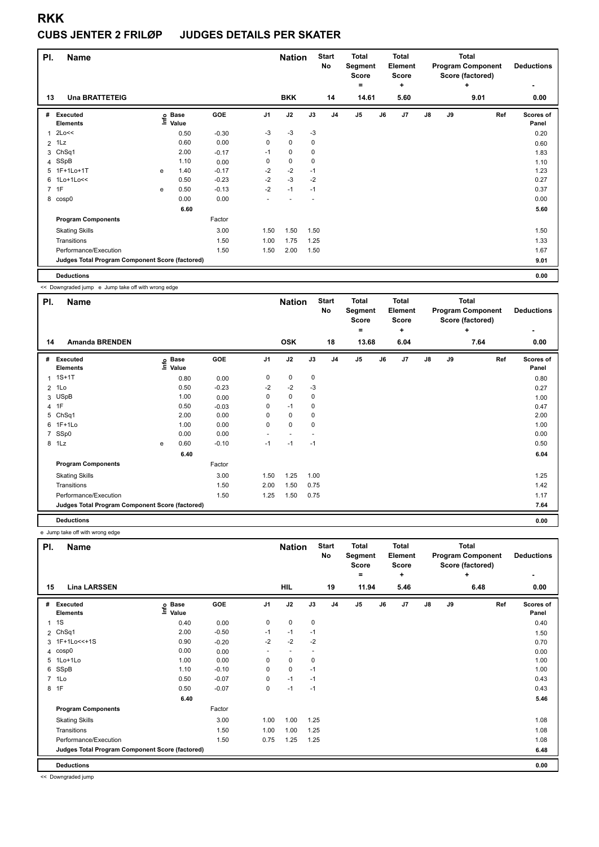#### **CUBS JENTER 2 FRILØP JUDGES DETAILS PER SKATER**

| PI.         | <b>Name</b>                                     |      |                      |         |                | <b>Nation</b> |      | <b>Start</b><br>No | <b>Total</b><br>Segment<br><b>Score</b><br>$=$ |    | <b>Total</b><br>Element<br><b>Score</b><br>٠ |               |    | <b>Total</b><br><b>Program Component</b><br>Score (factored)<br>÷ | <b>Deductions</b><br>۰ |
|-------------|-------------------------------------------------|------|----------------------|---------|----------------|---------------|------|--------------------|------------------------------------------------|----|----------------------------------------------|---------------|----|-------------------------------------------------------------------|------------------------|
| 13          | <b>Una BRATTETEIG</b>                           |      |                      |         |                | <b>BKK</b>    |      | 14                 | 14.61                                          |    | 5.60                                         |               |    | 9.01                                                              | 0.00                   |
| #           | Executed<br><b>Elements</b>                     | ١nf٥ | <b>Base</b><br>Value | GOE     | J <sub>1</sub> | J2            | J3   | J <sub>4</sub>     | J5                                             | J6 | J7                                           | $\mathsf{J}8$ | J9 | Ref                                                               | Scores of<br>Panel     |
| 1           | 2Lo<<                                           |      | 0.50                 | $-0.30$ | $-3$           | -3            | $-3$ |                    |                                                |    |                                              |               |    |                                                                   | 0.20                   |
|             | $2$ 1 Lz                                        |      | 0.60                 | 0.00    | $\mathbf 0$    | $\mathbf 0$   | 0    |                    |                                                |    |                                              |               |    |                                                                   | 0.60                   |
| 3           | ChSq1                                           |      | 2.00                 | $-0.17$ | $-1$           | 0             | 0    |                    |                                                |    |                                              |               |    |                                                                   | 1.83                   |
| 4           | SSpB                                            |      | 1.10                 | 0.00    | 0              | $\pmb{0}$     | 0    |                    |                                                |    |                                              |               |    |                                                                   | 1.10                   |
| 5           | 1F+1Lo+1T                                       | e    | 1.40                 | $-0.17$ | $-2$           | $-2$          | $-1$ |                    |                                                |    |                                              |               |    |                                                                   | 1.23                   |
| 6           | $1$ Lo+ $1$ Lo<<                                |      | 0.50                 | $-0.23$ | $-2$           | $-3$          | $-2$ |                    |                                                |    |                                              |               |    |                                                                   | 0.27                   |
| $7^{\circ}$ | 1F                                              | e    | 0.50                 | $-0.13$ | $-2$           | $-1$          | $-1$ |                    |                                                |    |                                              |               |    |                                                                   | 0.37                   |
|             | 8 cosp0                                         |      | 0.00                 | 0.00    |                |               |      |                    |                                                |    |                                              |               |    |                                                                   | 0.00                   |
|             |                                                 |      | 6.60                 |         |                |               |      |                    |                                                |    |                                              |               |    |                                                                   | 5.60                   |
|             | <b>Program Components</b>                       |      |                      | Factor  |                |               |      |                    |                                                |    |                                              |               |    |                                                                   |                        |
|             | <b>Skating Skills</b>                           |      |                      | 3.00    | 1.50           | 1.50          | 1.50 |                    |                                                |    |                                              |               |    |                                                                   | 1.50                   |
|             | Transitions                                     |      |                      | 1.50    | 1.00           | 1.75          | 1.25 |                    |                                                |    |                                              |               |    |                                                                   | 1.33                   |
|             | Performance/Execution                           |      |                      | 1.50    | 1.50           | 2.00          | 1.50 |                    |                                                |    |                                              |               |    |                                                                   | 1.67                   |
|             | Judges Total Program Component Score (factored) |      |                      |         |                |               |      |                    |                                                |    |                                              |               |    |                                                                   | 9.01                   |
|             | <b>Deductions</b>                               |      |                      |         |                |               |      |                    |                                                |    |                                              |               |    |                                                                   | 0.00                   |

<< Downgraded jump e Jump take off with wrong edge

| PI. | <b>Name</b>                                     |   |                            |         |                | <b>Nation</b> |      | <b>Start</b><br>No | <b>Total</b><br>Segment<br><b>Score</b> |    | <b>Total</b><br><b>Element</b><br><b>Score</b> |               |    | <b>Total</b><br><b>Program Component</b><br>Score (factored) | <b>Deductions</b>  |
|-----|-------------------------------------------------|---|----------------------------|---------|----------------|---------------|------|--------------------|-----------------------------------------|----|------------------------------------------------|---------------|----|--------------------------------------------------------------|--------------------|
| 14  | <b>Amanda BRENDEN</b>                           |   |                            |         |                | <b>OSK</b>    |      | 18                 | ۰<br>13.68                              |    | ٠<br>6.04                                      |               |    | ÷<br>7.64                                                    | ٠<br>0.00          |
|     |                                                 |   |                            |         |                |               |      |                    |                                         |    |                                                |               |    |                                                              |                    |
| #   | Executed<br><b>Elements</b>                     |   | e Base<br>⊑ Value<br>Value | GOE     | J <sub>1</sub> | J2            | J3   | J <sub>4</sub>     | J <sub>5</sub>                          | J6 | J7                                             | $\mathsf{J}8$ | J9 | Ref                                                          | Scores of<br>Panel |
|     | $1.1S+1T$                                       |   | 0.80                       | 0.00    | 0              | 0             | 0    |                    |                                         |    |                                                |               |    |                                                              | 0.80               |
|     | $2$ 1 Lo                                        |   | 0.50                       | $-0.23$ | $-2$           | $-2$          | $-3$ |                    |                                         |    |                                                |               |    |                                                              | 0.27               |
|     | 3 USpB                                          |   | 1.00                       | 0.00    | 0              | 0             | 0    |                    |                                         |    |                                                |               |    |                                                              | 1.00               |
|     | 4 1F                                            |   | 0.50                       | $-0.03$ | 0              | $-1$          | 0    |                    |                                         |    |                                                |               |    |                                                              | 0.47               |
|     | 5 ChSq1                                         |   | 2.00                       | 0.00    | 0              | $\mathbf 0$   | 0    |                    |                                         |    |                                                |               |    |                                                              | 2.00               |
|     | 6 1F+1Lo                                        |   | 1.00                       | 0.00    | 0              | $\mathbf 0$   | 0    |                    |                                         |    |                                                |               |    |                                                              | 1.00               |
|     | 7 SSp0                                          |   | 0.00                       | 0.00    |                |               |      |                    |                                         |    |                                                |               |    |                                                              | 0.00               |
|     | 8 1Lz                                           | e | 0.60                       | $-0.10$ | $-1$           | $-1$          | $-1$ |                    |                                         |    |                                                |               |    |                                                              | 0.50               |
|     |                                                 |   | 6.40                       |         |                |               |      |                    |                                         |    |                                                |               |    |                                                              | 6.04               |
|     | <b>Program Components</b>                       |   |                            | Factor  |                |               |      |                    |                                         |    |                                                |               |    |                                                              |                    |
|     | <b>Skating Skills</b>                           |   |                            | 3.00    | 1.50           | 1.25          | 1.00 |                    |                                         |    |                                                |               |    |                                                              | 1.25               |
|     | Transitions                                     |   |                            | 1.50    | 2.00           | 1.50          | 0.75 |                    |                                         |    |                                                |               |    |                                                              | 1.42               |
|     | Performance/Execution                           |   |                            | 1.50    | 1.25           | 1.50          | 0.75 |                    |                                         |    |                                                |               |    |                                                              | 1.17               |
|     | Judges Total Program Component Score (factored) |   |                            |         |                |               |      |                    |                                         |    |                                                |               |    |                                                              | 7.64               |
|     | <b>Deductions</b>                               |   |                            |         |                |               |      |                    |                                         |    |                                                |               |    |                                                              | 0.00               |

e Jump take off with wrong edge

| PI.            | <b>Name</b>                                     |                   |         |                | <b>Nation</b>            |      | <b>Start</b><br><b>No</b> | <b>Total</b><br>Segment<br><b>Score</b><br>= |    | <b>Total</b><br>Element<br><b>Score</b><br>٠ |               |    | <b>Total</b><br><b>Program Component</b><br>Score (factored)<br>÷ | <b>Deductions</b>  |
|----------------|-------------------------------------------------|-------------------|---------|----------------|--------------------------|------|---------------------------|----------------------------------------------|----|----------------------------------------------|---------------|----|-------------------------------------------------------------------|--------------------|
| 15             | <b>Lina LARSSEN</b>                             |                   |         |                | HIL                      |      | 19                        | 11.94                                        |    | 5.46                                         |               |    | 6.48                                                              | 0.00               |
| #              | Executed<br><b>Elements</b>                     | e Base<br>⊆ Value | GOE     | J <sub>1</sub> | J2                       | J3   | J <sub>4</sub>            | J <sub>5</sub>                               | J6 | J7                                           | $\mathsf{J}8$ | J9 | Ref                                                               | Scores of<br>Panel |
| 1              | 1S                                              | 0.40              | 0.00    | 0              | 0                        | 0    |                           |                                              |    |                                              |               |    |                                                                   | 0.40               |
| $\overline{2}$ | Ch <sub>Sq1</sub>                               | 2.00              | $-0.50$ | $-1$           | $-1$                     | $-1$ |                           |                                              |    |                                              |               |    |                                                                   | 1.50               |
|                | 3 1F+1Lo<<+1S                                   | 0.90              | $-0.20$ | $-2$           | $-2$                     | $-2$ |                           |                                              |    |                                              |               |    |                                                                   | 0.70               |
| 4              | cosp0                                           | 0.00              | 0.00    | ٠              | $\overline{\phantom{a}}$ |      |                           |                                              |    |                                              |               |    |                                                                   | 0.00               |
|                | 5 1Lo+1Lo                                       | 1.00              | 0.00    | 0              | $\pmb{0}$                | 0    |                           |                                              |    |                                              |               |    |                                                                   | 1.00               |
| 6              | SSpB                                            | 1.10              | $-0.10$ | 0              | 0                        | $-1$ |                           |                                              |    |                                              |               |    |                                                                   | 1.00               |
|                | 7 1Lo                                           | 0.50              | $-0.07$ | 0              | $-1$                     | $-1$ |                           |                                              |    |                                              |               |    |                                                                   | 0.43               |
|                | 8 1F                                            | 0.50              | $-0.07$ | 0              | $-1$                     | $-1$ |                           |                                              |    |                                              |               |    |                                                                   | 0.43               |
|                |                                                 | 6.40              |         |                |                          |      |                           |                                              |    |                                              |               |    |                                                                   | 5.46               |
|                | <b>Program Components</b>                       |                   | Factor  |                |                          |      |                           |                                              |    |                                              |               |    |                                                                   |                    |
|                | <b>Skating Skills</b>                           |                   | 3.00    | 1.00           | 1.00                     | 1.25 |                           |                                              |    |                                              |               |    |                                                                   | 1.08               |
|                | Transitions                                     |                   | 1.50    | 1.00           | 1.00                     | 1.25 |                           |                                              |    |                                              |               |    |                                                                   | 1.08               |
|                | Performance/Execution                           |                   | 1.50    | 0.75           | 1.25                     | 1.25 |                           |                                              |    |                                              |               |    |                                                                   | 1.08               |
|                | Judges Total Program Component Score (factored) |                   |         |                |                          |      |                           |                                              |    |                                              |               |    |                                                                   | 6.48               |
|                | <b>Deductions</b>                               |                   |         |                |                          |      |                           |                                              |    |                                              |               |    |                                                                   | 0.00               |

<< Downgraded jump